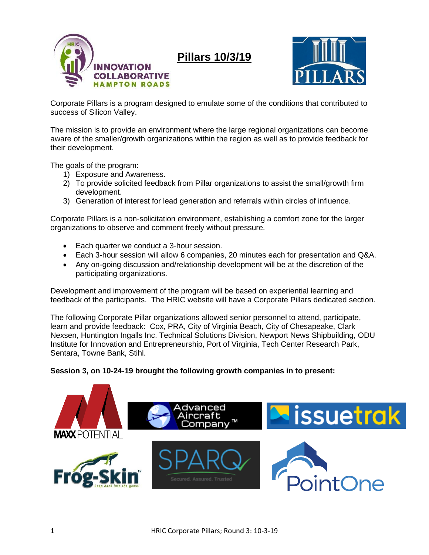

**Pillars 10/3/19**



Corporate Pillars is a program designed to emulate some of the conditions that contributed to success of Silicon Valley.

The mission is to provide an environment where the large regional organizations can become aware of the smaller/growth organizations within the region as well as to provide feedback for their development.

The goals of the program:

- 1) Exposure and Awareness.
- 2) To provide solicited feedback from Pillar organizations to assist the small/growth firm development.
- 3) Generation of interest for lead generation and referrals within circles of influence.

Corporate Pillars is a non-solicitation environment, establishing a comfort zone for the larger organizations to observe and comment freely without pressure.

- Each quarter we conduct a 3-hour session.
- Each 3-hour session will allow 6 companies, 20 minutes each for presentation and Q&A.
- Any on-going discussion and/relationship development will be at the discretion of the participating organizations.

Development and improvement of the program will be based on experiential learning and feedback of the participants. The HRIC website will have a Corporate Pillars dedicated section.

The following Corporate Pillar organizations allowed senior personnel to attend, participate, learn and provide feedback: Cox, PRA, City of Virginia Beach, City of Chesapeake, Clark Nexsen, Huntington Ingalls Inc. Technical Solutions Division, Newport News Shipbuilding, ODU Institute for Innovation and Entrepreneurship, Port of Virginia, Tech Center Research Park, Sentara, Towne Bank, Stihl.

## **Session 3, on 10-24-19 brought the following growth companies in to present:**

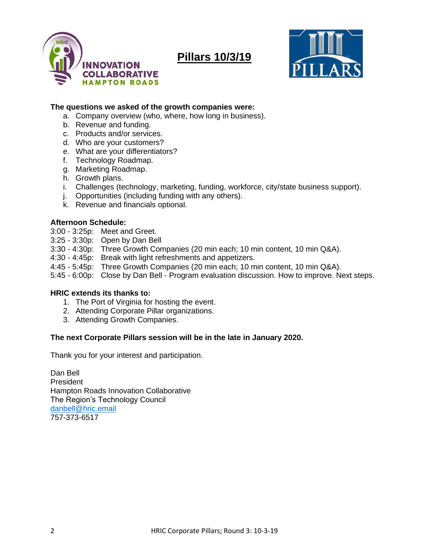

# **Pillars 10/3/19**



### **The questions we asked of the growth companies were:**

- a. Company overview (who, where, how long in business).
- b. Revenue and funding.
- c. Products and/or services.
- d. Who are your customers?
- e. What are your differentiators?
- f. Technology Roadmap.
- g. Marketing Roadmap.
- h. Growth plans.
- i. Challenges (technology, marketing, funding, workforce, city/state business support).
- j. Opportunities (including funding with any others).
- k. Revenue and financials optional.

#### **Afternoon Schedule:**

- 3:00 3:25p: Meet and Greet.
- 3:25 3:30p: Open by Dan Bell
- 3:30 4:30p: Three Growth Companies (20 min each; 10 min content, 10 min Q&A).
- 4:30 4:45p: Break with light refreshments and appetizers.
- 4:45 5:45p: Three Growth Companies (20 min each; 10 min content, 10 min Q&A).
- 5:45 6:00p: Close by Dan Bell Program evaluation discussion. How to improve. Next steps.

## **HRIC extends its thanks to:**

- 1. The Port of Virginia for hosting the event.
- 2. Attending Corporate Pillar organizations.
- 3. Attending Growth Companies.

## **The next Corporate Pillars session will be in the late in January 2020.**

Thank you for your interest and participation.

Dan Bell President Hampton Roads Innovation Collaborative The Region's Technology Council [danbell@hric.email](mailto:danbell@hric.email) 757-373-6517